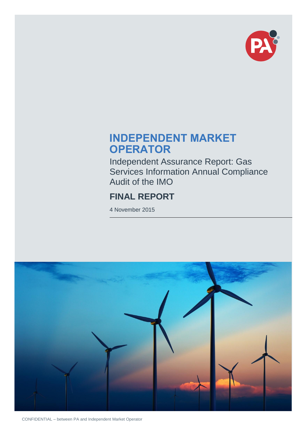

## **INDEPENDENT MARKET OPERATOR**

Independent Assurance Report: Gas Services Information Annual Compliance Audit of the IMO

## **FINAL REPORT**

4 November 2015



CONFIDENTIAL – between PA and Independent Market Operator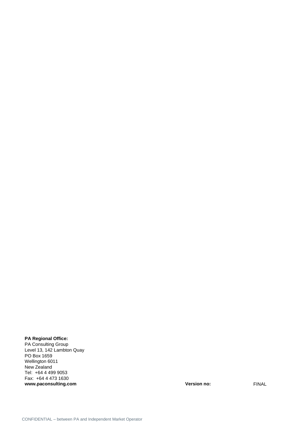#### **PA Regional Office:**

PA Consulting Group Level 13, 142 Lambton Quay PO Box 1659 Wellington 6011 New Zealand Tel: +64 4 499 9053 Fax: +64 4 473 1630 **www.paconsulting.com Version no:** FINAL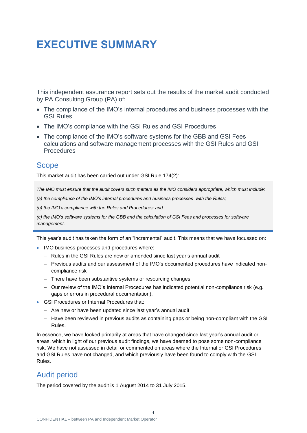## <span id="page-2-0"></span>**EXECUTIVE SUMMARY**

This independent assurance report sets out the results of the market audit conducted by PA Consulting Group (PA) of:

- The compliance of the IMO's internal procedures and business processes with the GSI Rules
- The IMO's compliance with the GSI Rules and GSI Procedures
- The compliance of the IMO's software systems for the GBB and GSI Fees calculations and software management processes with the GSI Rules and GSI **Procedures**

### <span id="page-2-1"></span>**Scope**

This market audit has been carried out under GSI Rule 174(2):

*The IMO must ensure that the audit covers such matters as the IMO considers appropriate, which must include:*

*(a) the compliance of the IMO's internal procedures and business processes with the Rules;*

*(b) the IMO's compliance with the Rules and Procedures; and*

*(c) the IMO's software systems for the GBB and the calculation of GSI Fees and processes for software management.*

This year's audit has taken the form of an "incremental" audit. This means that we have focussed on:

- IMO business processes and procedures where:
	- Rules in the GSI Rules are new or amended since last year's annual audit
	- Previous audits and our assessment of the IMO's documented procedures have indicated noncompliance risk
	- There have been substantive systems or resourcing changes
	- Our review of the IMO's Internal Procedures has indicated potential non-compliance risk (e.g. gaps or errors in procedural documentation).
- GSI Procedures or Internal Procedures that:
	- Are new or have been updated since last year's annual audit
	- Have been reviewed in previous audits as containing gaps or being non-compliant with the GSI Rules.

In essence, we have looked primarily at areas that have changed since last year's annual audit or areas, which in light of our previous audit findings, we have deemed to pose some non-compliance risk. We have not assessed in detail or commented on areas where the Internal or GSI Procedures and GSI Rules have not changed, and which previously have been found to comply with the GSI Rules.

## <span id="page-2-2"></span>Audit period

The period covered by the audit is 1 August 2014 to 31 July 2015.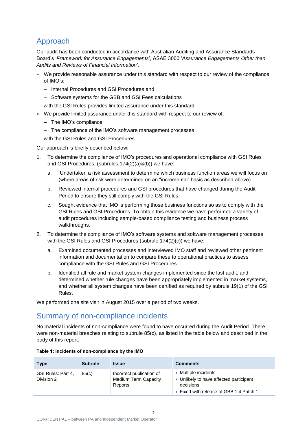## <span id="page-3-0"></span>Approach

Our audit has been conducted in accordance with Australian Auditing and Assurance Standards Board's '*Framework for Assurance Engagements*', ASAE 3000 '*Assurance Engagements Other than Audits and Reviews of Financial Information*'.

- We provide reasonable assurance under this standard with respect to our review of the compliance of IMO's:
	- Internal Procedures and GSI Procedures and
	- Software systems for the GBB and GSI Fees calculations

with the GSI Rules provides limited assurance under this standard.

- We provide limited assurance under this standard with respect to our review of:
	- The IMO's compliance
	- The compliance of the IMO's software management processes

with the GSI Rules and GSI Procedures.

Our approach is briefly described below:

- 1. To determine the compliance of IMO's procedures and operational compliance with GSI Rules and GSI Procedures (subrules 174(2)(a)&(b)) we have:
	- a. Undertaken a risk assessment to determine which business function areas we will focus on (where areas of risk were determined on an "incremental" basis as described above).
	- b. Reviewed internal procedures and GSI procedures that have changed during the Audit Period to ensure they still comply with the GSI Rules.
	- c. Sought evidence that IMO is performing those business functions so as to comply with the GSI Rules and GSI Procedures. To obtain this evidence we have performed a variety of audit procedures including sample-based compliance testing and business process walkthroughs.
- 2. To determine the compliance of IMO's software systems and software management processes with the GSI Rules and GSI Procedures (subrule 174(2)(c)) we have:
	- a. Examined documented processes and interviewed IMO staff and reviewed other pertinent information and documentation to compare these to operational practices to assess compliance with the GSI Rules and GSI Procedures.
	- b. Identified all rule and market system changes implemented since the last audit, and determined whether rule changes have been appropriately implemented in market systems, and whether all system changes have been certified as required by subrule 19(1) of the GSI Rules.

We performed one site visit in August 2015 over a period of two weeks.

### <span id="page-3-1"></span>Summary of non-compliance incidents

No material incidents of non-compliance were found to have occurred during the Audit Period. There were non-material breaches relating to subrule 85(c), as listed in the table below and described in the body of this report.

| <b>Type</b>                      | <b>Subrule</b> | <b>Issue</b>                                                | <b>Comments</b>                                                                                                         |
|----------------------------------|----------------|-------------------------------------------------------------|-------------------------------------------------------------------------------------------------------------------------|
| GSI Rules: Part 4,<br>Division 2 | 85(c)          | Incorrect publication of<br>Medium Term Capacity<br>Reports | • Multiple incidents<br>• Unlikely to have affected participant<br>decisions<br>• Fixed with release of GBB 1.4 Patch 1 |

#### <span id="page-3-2"></span>**Table 1: Incidents of non-compliance by the IMO**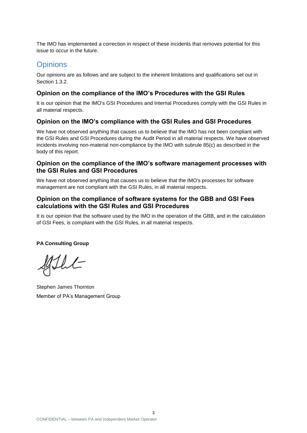The IMO has implemented a correction in respect of these incidents that removes potential for this issue to occur in the future.

#### <span id="page-4-0"></span>**Opinions**

Our opinions are as follows and are subject to the inherent limitations and qualifications set out in Section 1.3.2.

#### **Opinion on the compliance of the IMO's Procedures with the GSI Rules**

It is our opinion that the IMO's GSI Procedures and Internal Procedures comply with the GSI Rules in all material respects.

#### **Opinion on the IMO's compliance with the GSI Rules and GSI Procedures**

We have not observed anything that causes us to believe that the IMO has not been compliant with the GSI Rules and GSI Procedures during the Audit Period in all material respects. We have observed incidents involving non-material non-compliance by the IMO with subrule 85(c) as described in the body of this report.

#### **Opinion on the compliance of the IMO's software management processes with the GSI Rules and GSI Procedures**

We have not observed anything that causes us to believe that the IMO's processes for software management are not compliant with the GSI Rules, in all material respects.

#### **Opinion on the compliance of software systems for the GBB and GSI Fees calculations with the GSI Rules and GSI Procedures**

It is our opinion that the software used by the IMO in the operation of the GBB, and in the calculation of GSI Fees, is compliant with the GSI Rules, in all material respects.

#### **PA Consulting Group**

Flut

Stephen James Thornton Member of PA's Management Group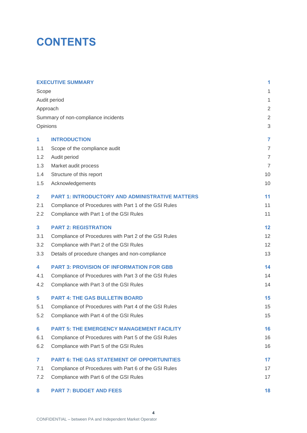## **CONTENTS**

|                         | <b>EXECUTIVE SUMMARY</b>                               | 1              |
|-------------------------|--------------------------------------------------------|----------------|
| Scope                   |                                                        | 1              |
|                         | Audit period                                           | 1              |
|                         | Approach                                               | $\overline{2}$ |
|                         | Summary of non-compliance incidents                    | $\overline{2}$ |
|                         | Opinions                                               | 3              |
| 1                       | <b>INTRODUCTION</b>                                    | $\overline{7}$ |
| 1.1                     | Scope of the compliance audit                          | $\overline{7}$ |
| 1.2                     | Audit period                                           | $\overline{7}$ |
| 1.3                     | Market audit process                                   | $\overline{7}$ |
| 1.4                     | Structure of this report                               | 10             |
| 1.5                     | Acknowledgements                                       | 10             |
| $\overline{\mathbf{2}}$ | <b>PART 1: INTRODUCTORY AND ADMINISTRATIVE MATTERS</b> | 11             |
| 2.1                     | Compliance of Procedures with Part 1 of the GSI Rules  | 11             |
| 2.2                     | Compliance with Part 1 of the GSI Rules                | 11             |
| 3                       | <b>PART 2: REGISTRATION</b>                            | 12             |
| 3.1                     | Compliance of Procedures with Part 2 of the GSI Rules  | 12             |
| 3.2                     | Compliance with Part 2 of the GSI Rules                | 12             |
| 3.3                     | Details of procedure changes and non-compliance        | 13             |
| 4                       | <b>PART 3: PROVISION OF INFORMATION FOR GBB</b>        | 14             |
| 4.1                     | Compliance of Procedures with Part 3 of the GSI Rules  | 14             |
| 4.2                     | Compliance with Part 3 of the GSI Rules                | 14             |
| 5                       | <b>PART 4: THE GAS BULLETIN BOARD</b>                  | 15             |
| 5.1                     | Compliance of Procedures with Part 4 of the GSI Rules  | 15             |
| 5.2                     | Compliance with Part 4 of the GSI Rules                | 15             |
| 6                       | <b>PART 5: THE EMERGENCY MANAGEMENT FACILITY</b>       | 16             |
| 6.1                     | Compliance of Procedures with Part 5 of the GSI Rules  | 16             |
| 6.2                     | Compliance with Part 5 of the GSI Rules                | 16             |
| $\overline{7}$          | <b>PART 6: THE GAS STATEMENT OF OPPORTUNITIES</b>      | 17             |
| 7.1                     | Compliance of Procedures with Part 6 of the GSI Rules  | 17             |
| 7.2                     | Compliance with Part 6 of the GSI Rules                | 17             |
|                         |                                                        |                |

#### **8 [PART 7: BUDGET AND](#page-19-0) FEES 18**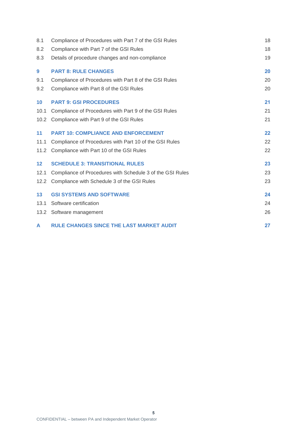| 8.1             | Compliance of Procedures with Part 7 of the GSI Rules     | 18 |
|-----------------|-----------------------------------------------------------|----|
| 8.2             | Compliance with Part 7 of the GSI Rules                   | 18 |
| 8.3             | Details of procedure changes and non-compliance           | 19 |
| $9^{\circ}$     | <b>PART 8: RULE CHANGES</b>                               | 20 |
| 9.1             | Compliance of Procedures with Part 8 of the GSI Rules     | 20 |
| 9.2             | Compliance with Part 8 of the GSI Rules                   | 20 |
| 10 <sup>1</sup> | <b>PART 9: GSI PROCEDURES</b>                             | 21 |
| 10.1            | Compliance of Procedures with Part 9 of the GSI Rules     | 21 |
| 10.2            | Compliance with Part 9 of the GSI Rules                   | 21 |
| 11              | <b>PART 10: COMPLIANCE AND ENFORCEMENT</b>                | 22 |
| 11.1            | Compliance of Procedures with Part 10 of the GSI Rules    | 22 |
| 11.2            | Compliance with Part 10 of the GSI Rules                  | 22 |
| 12 <sup>2</sup> | <b>SCHEDULE 3: TRANSITIONAL RULES</b>                     | 23 |
| 12.1            | Compliance of Procedures with Schedule 3 of the GSI Rules | 23 |
| 12.2            | Compliance with Schedule 3 of the GSI Rules               | 23 |
| 13              | <b>GSI SYSTEMS AND SOFTWARE</b>                           | 24 |
| 13.1            | Software certification                                    | 24 |
| 13.2            | Software management                                       | 26 |
| A               | <b>RULE CHANGES SINCE THE LAST MARKET AUDIT</b>           | 27 |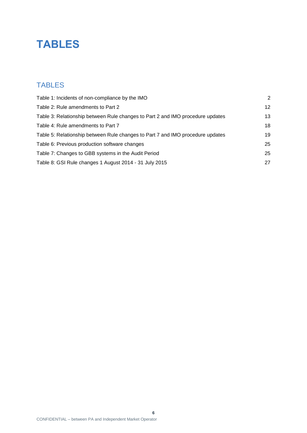## **TABLES**

## TABLES

| Table 1: Incidents of non-compliance by the IMO                                | 2  |
|--------------------------------------------------------------------------------|----|
| Table 2: Rule amendments to Part 2                                             | 12 |
| Table 3: Relationship between Rule changes to Part 2 and IMO procedure updates | 13 |
| Table 4: Rule amendments to Part 7                                             | 18 |
| Table 5: Relationship between Rule changes to Part 7 and IMO procedure updates | 19 |
| Table 6: Previous production software changes                                  | 25 |
| Table 7: Changes to GBB systems in the Audit Period                            | 25 |
| Table 8: GSI Rule changes 1 August 2014 - 31 July 2015                         | 27 |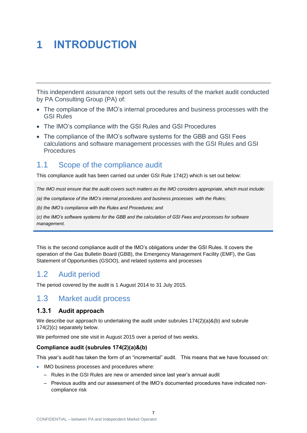# <span id="page-8-0"></span>**1 INTRODUCTION**

This independent assurance report sets out the results of the market audit conducted by PA Consulting Group (PA) of:

- The compliance of the IMO's internal procedures and business processes with the GSI Rules
- The IMO's compliance with the GSI Rules and GSI Procedures
- The compliance of the IMO's software systems for the GBB and GSI Fees calculations and software management processes with the GSI Rules and GSI Procedures

## <span id="page-8-1"></span>1.1 Scope of the compliance audit

This compliance audit has been carried out under GSI Rule 174(2) which is set out below:

*The IMO must ensure that the audit covers such matters as the IMO considers appropriate, which must include:*

*(a) the compliance of the IMO's internal procedures and business processes with the Rules;*

*(b) the IMO's compliance with the Rules and Procedures; and*

*(c) the IMO's software systems for the GBB and the calculation of GSI Fees and processes for software management.*

This is the second compliance audit of the IMO's obligations under the GSI Rules. It covers the operation of the Gas Bulletin Board (GBB), the Emergency Management Facility (EMF), the Gas Statement of Opportunities (GSOO), and related systems and processes

## <span id="page-8-2"></span>1.2 Audit period

The period covered by the audit is 1 August 2014 to 31 July 2015.

### <span id="page-8-3"></span>1.3 Market audit process

#### **1.3.1 Audit approach**

We describe our approach to undertaking the audit under subrules  $174(2)(a)\&(b)$  and subrule 174(2)(c) separately below.

We performed one site visit in August 2015 over a period of two weeks.

#### **Compliance audit (subrules 174(2)(a)&(b)**

This year's audit has taken the form of an "incremental" audit. This means that we have focussed on:

- IMO business processes and procedures where:
	- Rules in the GSI Rules are new or amended since last year's annual audit
	- Previous audits and our assessment of the IMO's documented procedures have indicated noncompliance risk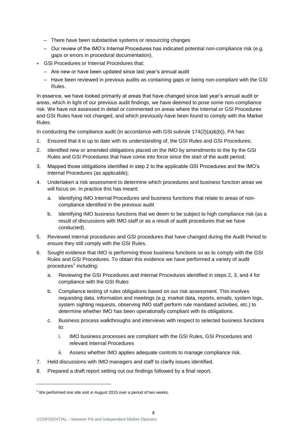- There have been substantive systems or resourcing changes
- Our review of the IMO's Internal Procedures has indicated potential non-compliance risk (e.g. gaps or errors in procedural documentation).
- GSI Procedures or Internal Procedures that:
	- Are new or have been updated since last year's annual audit
	- Have been reviewed in previous audits as containing gaps or being non-compliant with the GSI Rules.

In essence, we have looked primarily at areas that have changed since last year's annual audit or areas, which in light of our previous audit findings, we have deemed to pose some non-compliance risk. We have not assessed in detail or commented on areas where the Internal or GSI Procedures and GSI Rules have not changed, and which previously have been found to comply with the Market Rules.

In conducting the compliance audit (in accordance with GSI subrule  $174(2)(a)\&(b)$ ), PA has:

- 1. Ensured that it is up to date with its understanding of, the GSI Rules and GSI Procedures;
- 2. Identified new or amended obligations placed on the IMO by amendments to the by the GSI Rules and GSI Procedures that have come into force since the start of the audit period;
- 3. Mapped those obligations identified in step 2 to the applicable GSI Procedures and the IMO's Internal Procedures (as applicable);
- 4. Undertaken a risk assessment to determine which procedures and business function areas we will focus on. In practice this has meant:
	- a. Identifying IMO Internal Procedures and business functions that relate to areas of noncompliance identified in the previous audit
	- b. Identifying IMO business functions that we deem to be subject to high compliance risk (as a result of discussions with IMO staff or as a result of audit procedures that we have conducted).
- 5. Reviewed internal procedures and GSI procedures that have changed during the Audit Period to ensure they still comply with the GSI Rules.
- 6. Sought evidence that IMO is performing those business functions so as to comply with the GSI Rules and GSI Procedures. To obtain this evidence we have performed a variety of audit procedures<sup>1</sup> including:
	- a. Reviewing the GSI Procedures and Internal Procedures identified in steps 2, 3, and 4 for compliance with the GSI Rules
	- b. Compliance testing of rules obligations based on our risk assessment. This involves requesting data, information and meetings (e.g. market data, reports, emails, system logs, system sighting requests, observing IMO staff perform rule mandated activities, etc.) to determine whether IMO has been operationally compliant with its obligations.
	- c. Business process walkthroughs and interviews with respect to selected business functions to:
		- i. IMO business processes are compliant with the GSI Rules, GSI Procedures and relevant Internal Procedures
		- ii. Assess whether IMO applies adequate controls to manage compliance risk.
- 7. Held discussions with IMO managers and staff to clarify issues identified.
- 8. Prepared a draft report setting out our findings followed by a final report.

l

 $1$  We performed one site visit in August 2015 over a period of two weeks.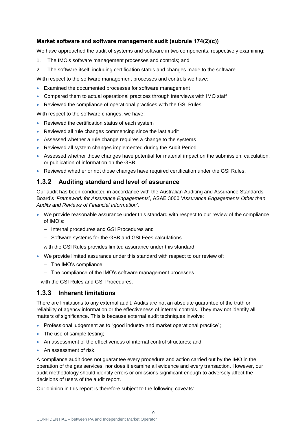#### **Market software and software management audit (subrule 174(2)(c))**

We have approached the audit of systems and software in two components, respectively examining:

- 1. The IMO's software management processes and controls; and
- 2. The software itself, including certification status and changes made to the software.

With respect to the software management processes and controls we have:

- Examined the documented processes for software management
- Compared them to actual operational practices through interviews with IMO staff
- Reviewed the compliance of operational practices with the GSI Rules.

With respect to the software changes, we have:

- Reviewed the certification status of each system
- Reviewed all rule changes commencing since the last audit
- Assessed whether a rule change requires a change to the systems
- Reviewed all system changes implemented during the Audit Period
- Assessed whether those changes have potential for material impact on the submission, calculation, or publication of information on the GBB
- Reviewed whether or not those changes have required certification under the GSI Rules.

#### **1.3.2 Auditing standard and level of assurance**

Our audit has been conducted in accordance with the Australian Auditing and Assurance Standards Board's '*Framework for Assurance Engagements*', ASAE 3000 '*Assurance Engagements Other than Audits and Reviews of Financial Information*'.

- We provide reasonable assurance under this standard with respect to our review of the compliance of IMO's:
	- Internal procedures and GSI Procedures and
	- Software systems for the GBB and GSI Fees calculations

with the GSI Rules provides limited assurance under this standard.

- We provide limited assurance under this standard with respect to our review of:
	- The IMO's compliance
	- The compliance of the IMO's software management processes

with the GSI Rules and GSI Procedures.

#### **1.3.3 Inherent limitations**

There are limitations to any external audit. Audits are not an absolute guarantee of the truth or reliability of agency information or the effectiveness of internal controls. They may not identify all matters of significance. This is because external audit techniques involve:

- Professional judgement as to "good industry and market operational practice";
- The use of sample testing;
- An assessment of the effectiveness of internal control structures; and
- An assessment of risk.

A compliance audit does not guarantee every procedure and action carried out by the IMO in the operation of the gas services, nor does it examine all evidence and every transaction. However, our audit methodology should identify errors or omissions significant enough to adversely affect the decisions of users of the audit report.

Our opinion in this report is therefore subject to the following caveats: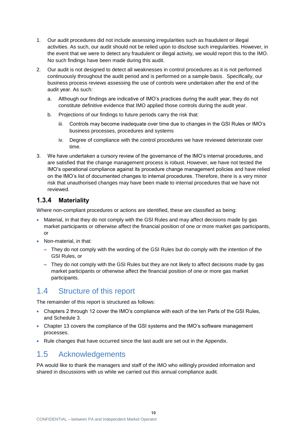- 1. Our audit procedures did not include assessing irregularities such as fraudulent or illegal activities. As such, our audit should not be relied upon to disclose such irregularities. However, in the event that we were to detect any fraudulent or illegal activity, we would report this to the IMO. No such findings have been made during this audit.
- 2. Our audit is not designed to detect all weaknesses in control procedures as it is not performed continuously throughout the audit period and is performed on a sample basis. Specifically, our business process reviews assessing the use of controls were undertaken after the end of the audit year. As such:
	- a. Although our findings are indicative of IMO's practices during the audit year, they do not constitute definitive evidence that IMO applied those controls during the audit year.
	- b. Projections of our findings to future periods carry the risk that:
		- iii. Controls may become inadequate over time due to changes in the GSI Rules or IMO's business processes, procedures and systems
		- iv. Degree of compliance with the control procedures we have reviewed deteriorate over time.
- 3. We have undertaken a cursory review of the governance of the IMO's internal procedures, and are satisfied that the change management process is robust. However, we have not tested the IMO's operational compliance against its procedure change management policies and have relied on the IMO's list of documented changes to internal procedures. Therefore, there is a very minor risk that unauthorised changes may have been made to internal procedures that we have not reviewed.

#### **1.3.4 Materiality**

Where non-compliant procedures or actions are identified, these are classified as being:

- Material, in that they do not comply with the GSI Rules and may affect decisions made by gas market participants or otherwise affect the financial position of one or more market gas participants, or
- Non-material, in that:
	- They do not comply with the wording of the GSI Rules but do comply with the intention of the GSI Rules, or
	- They do not comply with the GSI Rules but they are not likely to affect decisions made by gas market participants or otherwise affect the financial position of one or more gas market participants.

## <span id="page-11-0"></span>1.4 Structure of this report

The remainder of this report is structured as follows:

- Chapters 2 through 12 cover the IMO's compliance with each of the ten Parts of the GSI Rules, and Schedule 3.
- Chapter 13 covers the compliance of the GSI systems and the IMO's software management processes.
- Rule changes that have occurred since the last audit are set out in the Appendix.

## <span id="page-11-1"></span>1.5 Acknowledgements

PA would like to thank the managers and staff of the IMO who willingly provided information and shared in discussions with us while we carried out this annual compliance audit.

**10**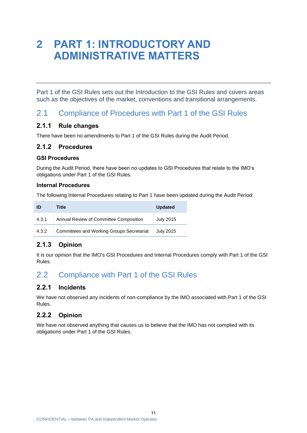## <span id="page-12-0"></span>**2 PART 1: INTRODUCTORY AND ADMINISTRATIVE MATTERS**

Part 1 of the GSI Rules sets out the Introduction to the GSI Rules and covers areas such as the objectives of the market, conventions and transitional arrangements.

## <span id="page-12-1"></span>2.1 Compliance of Procedures with Part 1 of the GSI Rules

#### **2.1.1 Rule changes**

There have been no amendments to Part 1 of the GSI Rules during the Audit Period.

#### **2.1.2 Procedures**

#### **GSI Procedures**

During the Audit Period, there have been no updates to GSI Procedures that relate to the IMO's obligations under Part 1 of the GSI Rules.

#### **Internal Procedures**

The following Internal Procedures relating to Part 1 have been updated during the Audit Period:

| ID    | Title                                            | <b>Updated</b>   |
|-------|--------------------------------------------------|------------------|
| 4.3.1 | Annual Review of Committee Composition           | <b>July 2015</b> |
| 4.3.2 | <b>Committees and Working Groups Secretariat</b> | <b>July 2015</b> |

#### **2.1.3 Opinion**

It is our opinion that the IMO's GSI Procedures and Internal Procedures comply with Part 1 of the GSI Rules.

## <span id="page-12-2"></span>2.2 Compliance with Part 1 of the GSI Rules

#### **2.2.1 Incidents**

We have not observed any incidents of non-compliance by the IMO associated with Part 1 of the GSI Rules.

#### **2.2.2 Opinion**

We have not observed anything that causes us to believe that the IMO has not complied with its obligations under Part 1 of the GSI Rules.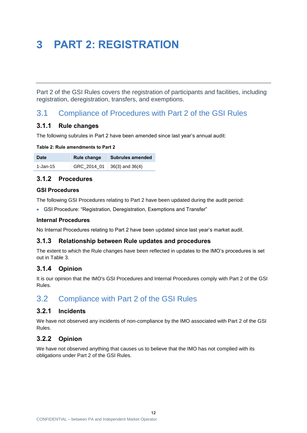## <span id="page-13-0"></span>**3 PART 2: REGISTRATION**

Part 2 of the GSI Rules covers the registration of participants and facilities, including registration, deregistration, transfers, and exemptions.

## <span id="page-13-1"></span>3.1 Compliance of Procedures with Part 2 of the GSI Rules

#### **3.1.1 Rule changes**

The following subrules in Part 2 have been amended since last year's annual audit:

<span id="page-13-3"></span>

|  | Table 2: Rule amendments to Part 2 |  |
|--|------------------------------------|--|
|  |                                    |  |

| Date     | Rule change | <b>Subrules amended</b> |
|----------|-------------|-------------------------|
| 1-Jan-15 | GRC_2014_01 | $36(3)$ and $36(4)$     |

#### **3.1.2 Procedures**

#### **GSI Procedures**

The following GSI Procedures relating to Part 2 have been updated during the audit period:

GSI Procedure: "Registration, Deregistration, Exemptions and Transfer"

#### **Internal Procedures**

No Internal Procedures relating to Part 2 have been updated since last year's market audit.

#### **3.1.3 Relationship between Rule updates and procedures**

The extent to which the Rule changes have been reflected in updates to the IMO's procedures is set out in [Table 3.](#page-14-1)

#### **3.1.4 Opinion**

It is our opinion that the IMO's GSI Procedures and Internal Procedures comply with Part 2 of the GSI Rules.

## <span id="page-13-2"></span>3.2 Compliance with Part 2 of the GSI Rules

#### **3.2.1 Incidents**

We have not observed any incidents of non-compliance by the IMO associated with Part 2 of the GSI Rules.

**12**

#### **3.2.2 Opinion**

We have not observed anything that causes us to believe that the IMO has not complied with its obligations under Part 2 of the GSI Rules.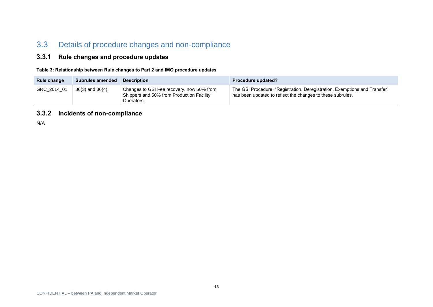## 3.3 Details of procedure changes and non-compliance

#### **3.3.1 Rule changes and procedure updates**

**Table 3: Relationship between Rule changes to Part 2 and IMO procedure updates**

| Rule change | <b>Subrules amended</b> | <b>Description</b>                                                                                   | Procedure updated?                                                                                                                       |
|-------------|-------------------------|------------------------------------------------------------------------------------------------------|------------------------------------------------------------------------------------------------------------------------------------------|
| GRC 2014 01 | $36(3)$ and $36(4)$     | Changes to GSI Fee recovery, now 50% from<br>Shippers and 50% from Production Facility<br>Operators. | The GSI Procedure: "Registration, Deregistration, Exemptions and Transfer"<br>has been updated to reflect the changes to these subrules. |

#### **3.3.2 Incidents of non-compliance**

<span id="page-14-1"></span><span id="page-14-0"></span>N/A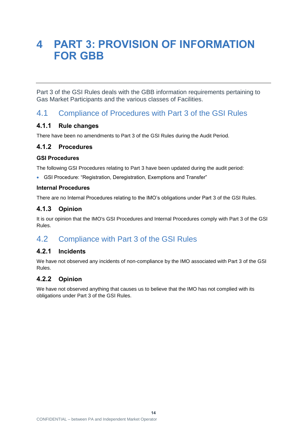## <span id="page-15-0"></span>**4 PART 3: PROVISION OF INFORMATION FOR GBB**

Part 3 of the GSI Rules deals with the GBB information requirements pertaining to Gas Market Participants and the various classes of Facilities.

## <span id="page-15-1"></span>4.1 Compliance of Procedures with Part 3 of the GSI Rules

#### **4.1.1 Rule changes**

There have been no amendments to Part 3 of the GSI Rules during the Audit Period.

#### **4.1.2 Procedures**

#### **GSI Procedures**

The following GSI Procedures relating to Part 3 have been updated during the audit period:

GSI Procedure: "Registration, Deregistration, Exemptions and Transfer"

#### **Internal Procedures**

There are no Internal Procedures relating to the IMO's obligations under Part 3 of the GSI Rules.

#### **4.1.3 Opinion**

It is our opinion that the IMO's GSI Procedures and Internal Procedures comply with Part 3 of the GSI Rules.

## <span id="page-15-2"></span>4.2 Compliance with Part 3 of the GSI Rules

#### **4.2.1 Incidents**

We have not observed any incidents of non-compliance by the IMO associated with Part 3 of the GSI Rules.

### **4.2.2 Opinion**

We have not observed anything that causes us to believe that the IMO has not complied with its obligations under Part 3 of the GSI Rules.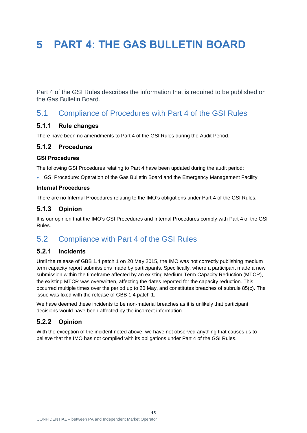# <span id="page-16-0"></span>**5 PART 4: THE GAS BULLETIN BOARD**

Part 4 of the GSI Rules describes the information that is required to be published on the Gas Bulletin Board.

## <span id="page-16-1"></span>5.1 Compliance of Procedures with Part 4 of the GSI Rules

#### **5.1.1 Rule changes**

There have been no amendments to Part 4 of the GSI Rules during the Audit Period.

#### **5.1.2 Procedures**

#### **GSI Procedures**

The following GSI Procedures relating to Part 4 have been updated during the audit period:

GSI Procedure: Operation of the Gas Bulletin Board and the Emergency Management Facility

#### **Internal Procedures**

There are no Internal Procedures relating to the IMO's obligations under Part 4 of the GSI Rules.

#### **5.1.3 Opinion**

It is our opinion that the IMO's GSI Procedures and Internal Procedures comply with Part 4 of the GSI Rules.

## <span id="page-16-2"></span>5.2 Compliance with Part 4 of the GSI Rules

#### **5.2.1 Incidents**

Until the release of GBB 1.4 patch 1 on 20 May 2015, the IMO was not correctly publishing medium term capacity report submissions made by participants. Specifically, where a participant made a new submission within the timeframe affected by an existing Medium Term Capacity Reduction (MTCR), the existing MTCR was overwritten, affecting the dates reported for the capacity reduction. This occurred multiple times over the period up to 20 May, and constitutes breaches of subrule 85(c). The issue was fixed with the release of GBB 1.4 patch 1.

We have deemed these incidents to be non-material breaches as it is unlikely that participant decisions would have been affected by the incorrect information.

#### **5.2.2 Opinion**

With the exception of the incident noted above, we have not observed anything that causes us to believe that the IMO has not complied with its obligations under Part 4 of the GSI Rules.

**15**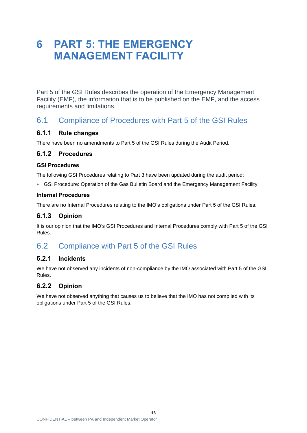## <span id="page-17-0"></span>**6 PART 5: THE EMERGENCY MANAGEMENT FACILITY**

Part 5 of the GSI Rules describes the operation of the Emergency Management Facility (EMF), the information that is to be published on the EMF, and the access requirements and limitations.

### <span id="page-17-1"></span>6.1 Compliance of Procedures with Part 5 of the GSI Rules

#### **6.1.1 Rule changes**

There have been no amendments to Part 5 of the GSI Rules during the Audit Period.

#### **6.1.2 Procedures**

#### **GSI Procedures**

The following GSI Procedures relating to Part 3 have been updated during the audit period:

GSI Procedure: Operation of the Gas Bulletin Board and the Emergency Management Facility

#### **Internal Procedures**

There are no Internal Procedures relating to the IMO's obligations under Part 5 of the GSI Rules.

#### **6.1.3 Opinion**

It is our opinion that the IMO's GSI Procedures and Internal Procedures comply with Part 5 of the GSI Rules.

## <span id="page-17-2"></span>6.2 Compliance with Part 5 of the GSI Rules

#### **6.2.1 Incidents**

We have not observed any incidents of non-compliance by the IMO associated with Part 5 of the GSI Rules.

**16**

#### **6.2.2 Opinion**

We have not observed anything that causes us to believe that the IMO has not complied with its obligations under Part 5 of the GSI Rules.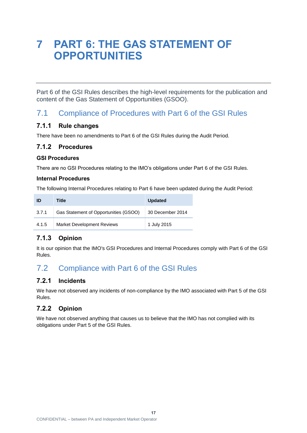## <span id="page-18-0"></span>**7 PART 6: THE GAS STATEMENT OF OPPORTUNITIES**

Part 6 of the GSI Rules describes the high-level requirements for the publication and content of the Gas Statement of Opportunities (GSOO).

## <span id="page-18-1"></span>7.1 Compliance of Procedures with Part 6 of the GSI Rules

#### **7.1.1 Rule changes**

There have been no amendments to Part 6 of the GSI Rules during the Audit Period.

#### **7.1.2 Procedures**

#### **GSI Procedures**

There are no GSI Procedures relating to the IMO's obligations under Part 6 of the GSI Rules.

#### **Internal Procedures**

The following Internal Procedures relating to Part 6 have been updated during the Audit Period:

| ID    | Title                                 | <b>Updated</b>   |
|-------|---------------------------------------|------------------|
| 3.7.1 | Gas Statement of Opportunities (GSOO) | 30 December 2014 |
| 4.1.5 | <b>Market Development Reviews</b>     | 1 July 2015      |

#### **7.1.3 Opinion**

It is our opinion that the IMO's GSI Procedures and Internal Procedures comply with Part 6 of the GSI Rules.

## <span id="page-18-2"></span>7.2 Compliance with Part 6 of the GSI Rules

#### **7.2.1 Incidents**

We have not observed any incidents of non-compliance by the IMO associated with Part 5 of the GSI Rules.

#### **7.2.2 Opinion**

We have not observed anything that causes us to believe that the IMO has not complied with its obligations under Part 5 of the GSI Rules.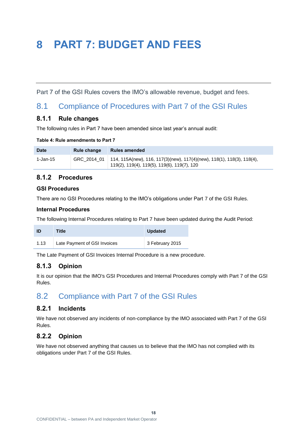## <span id="page-19-0"></span>**8 PART 7: BUDGET AND FEES**

Part 7 of the GSI Rules covers the IMO's allowable revenue, budget and fees.

### <span id="page-19-1"></span>8.1 Compliance of Procedures with Part 7 of the GSI Rules

#### **8.1.1 Rule changes**

The following rules in Part 7 have been amended since last year's annual audit:

<span id="page-19-3"></span>

|  | Table 4: Rule amendments to Part 7 |  |  |
|--|------------------------------------|--|--|
|  |                                    |  |  |

| <b>Date</b> | Rule change | <b>Rules amended</b>                                                                                                                |
|-------------|-------------|-------------------------------------------------------------------------------------------------------------------------------------|
| 1-Jan-15    |             | GRC_2014_01   114, 115A(new), 116, 117(3)(new), 117(4)(new), 118(1), 118(3), 118(4),<br>119(2), 119(4), 119(5), 119(6), 119(7), 120 |

#### **8.1.2 Procedures**

#### **GSI Procedures**

There are no GSI Procedures relating to the IMO's obligations under Part 7 of the GSI Rules.

#### **Internal Procedures**

The following Internal Procedures relating to Part 7 have been updated during the Audit Period:

| ID   | Title                        | <b>Updated</b>  |
|------|------------------------------|-----------------|
| 1.13 | Late Payment of GSI Invoices | 3 February 2015 |

The Late Payment of GSI Invoices Internal Procedure is a new procedure.

#### **8.1.3 Opinion**

It is our opinion that the IMO's GSI Procedures and Internal Procedures comply with Part 7 of the GSI Rules.

## <span id="page-19-2"></span>8.2 Compliance with Part 7 of the GSI Rules

#### **8.2.1 Incidents**

We have not observed any incidents of non-compliance by the IMO associated with Part 7 of the GSI Rules.

#### **8.2.2 Opinion**

We have not observed anything that causes us to believe that the IMO has not complied with its obligations under Part 7 of the GSI Rules.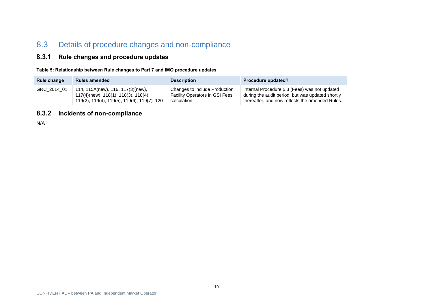## 8.3 Details of procedure changes and non-compliance

#### **8.3.1 Rule changes and procedure updates**

**Table 5: Relationship between Rule changes to Part 7 and IMO procedure updates**

| Rule change | <b>Rules amended</b>                        | <b>Description</b>                    | Procedure updated?                               |
|-------------|---------------------------------------------|---------------------------------------|--------------------------------------------------|
| GRC_2014_01 | 114, 115A(new), 116, 117(3)(new),           | Changes to include Production         | Internal Procedure 5.3 (Fees) was not updated    |
|             | 117(4)(new), 118(1), 118(3), 118(4),        | <b>Facility Operators in GSI Fees</b> | during the audit period, but was updated shortly |
|             | 119(2), 119(4), 119(5), 119(6), 119(7), 120 | calculation.                          | thereafter, and now reflects the amended Rules.  |

#### **8.3.2 Incidents of non-compliance**

<span id="page-20-1"></span><span id="page-20-0"></span>N/A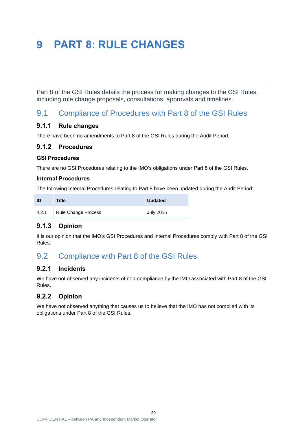## <span id="page-21-0"></span>**9 PART 8: RULE CHANGES**

Part 8 of the GSI Rules details the process for making changes to the GSI Rules, including rule change proposals, consultations, approvals and timelines.

## <span id="page-21-1"></span>9.1 Compliance of Procedures with Part 8 of the GSI Rules

#### **9.1.1 Rule changes**

There have been no amendments to Part 8 of the GSI Rules during the Audit Period.

#### **9.1.2 Procedures**

#### **GSI Procedures**

There are no GSI Procedures relating to the IMO's obligations under Part 8 of the GSI Rules.

#### **Internal Procedures**

The following Internal Procedures relating to Part 8 have been updated during the Audit Period:

| ID    | <b>Title</b>        | <b>Updated</b>   |
|-------|---------------------|------------------|
| 4.2.1 | Rule Change Process | <b>July 2015</b> |

#### **9.1.3 Opinion**

It is our opinion that the IMO's GSI Procedures and Internal Procedures comply with Part 8 of the GSI Rules.

## <span id="page-21-2"></span>9.2 Compliance with Part 8 of the GSI Rules

#### **9.2.1 Incidents**

We have not observed any incidents of non-compliance by the IMO associated with Part 8 of the GSI Rules.

#### **9.2.2 Opinion**

We have not observed anything that causes us to believe that the IMO has not complied with its obligations under Part 8 of the GSI Rules.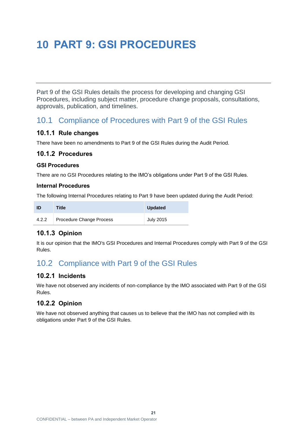## <span id="page-22-0"></span>**10 PART 9: GSI PROCEDURES**

Part 9 of the GSI Rules details the process for developing and changing GSI Procedures, including subject matter, procedure change proposals, consultations, approvals, publication, and timelines.

### <span id="page-22-1"></span>10.1 Compliance of Procedures with Part 9 of the GSI Rules

#### **10.1.1 Rule changes**

There have been no amendments to Part 9 of the GSI Rules during the Audit Period.

#### **10.1.2 Procedures**

#### **GSI Procedures**

There are no GSI Procedures relating to the IMO's obligations under Part 9 of the GSI Rules.

#### **Internal Procedures**

The following Internal Procedures relating to Part 9 have been updated during the Audit Period:

| -ID   | <b>Title</b>             | <b>Updated</b>   |
|-------|--------------------------|------------------|
| 4.2.2 | Procedure Change Process | <b>July 2015</b> |

#### **10.1.3 Opinion**

It is our opinion that the IMO's GSI Procedures and Internal Procedures comply with Part 9 of the GSI Rules.

## <span id="page-22-2"></span>10.2 Compliance with Part 9 of the GSI Rules

#### **10.2.1 Incidents**

We have not observed any incidents of non-compliance by the IMO associated with Part 9 of the GSI Rules.

### **10.2.2 Opinion**

We have not observed anything that causes us to believe that the IMO has not complied with its obligations under Part 9 of the GSI Rules.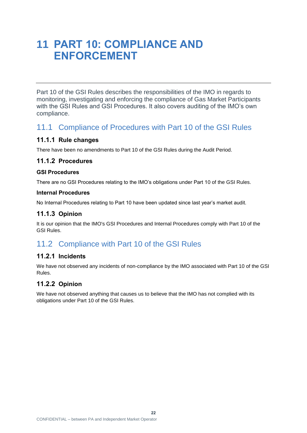## <span id="page-23-0"></span>**11 PART 10: COMPLIANCE AND ENFORCEMENT**

Part 10 of the GSI Rules describes the responsibilities of the IMO in regards to monitoring, investigating and enforcing the compliance of Gas Market Participants with the GSI Rules and GSI Procedures. It also covers auditing of the IMO's own compliance.

### <span id="page-23-1"></span>11.1 Compliance of Procedures with Part 10 of the GSI Rules

#### **11.1.1 Rule changes**

There have been no amendments to Part 10 of the GSI Rules during the Audit Period.

#### **11.1.2 Procedures**

#### **GSI Procedures**

There are no GSI Procedures relating to the IMO's obligations under Part 10 of the GSI Rules.

#### **Internal Procedures**

No Internal Procedures relating to Part 10 have been updated since last year's market audit.

#### **11.1.3 Opinion**

It is our opinion that the IMO's GSI Procedures and Internal Procedures comply with Part 10 of the GSI Rules.

## <span id="page-23-2"></span>11.2 Compliance with Part 10 of the GSI Rules

#### **11.2.1 Incidents**

We have not observed any incidents of non-compliance by the IMO associated with Part 10 of the GSI Rules.

#### **11.2.2 Opinion**

We have not observed anything that causes us to believe that the IMO has not complied with its obligations under Part 10 of the GSI Rules.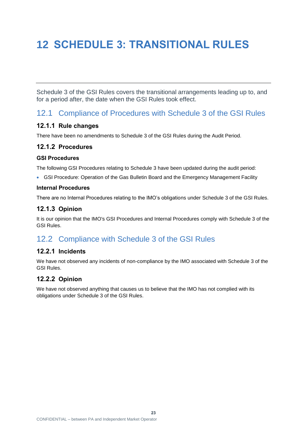# <span id="page-24-0"></span>**12 SCHEDULE 3: TRANSITIONAL RULES**

Schedule 3 of the GSI Rules covers the transitional arrangements leading up to, and for a period after, the date when the GSI Rules took effect.

## <span id="page-24-1"></span>12.1 Compliance of Procedures with Schedule 3 of the GSI Rules

#### **12.1.1 Rule changes**

There have been no amendments to Schedule 3 of the GSI Rules during the Audit Period.

#### **12.1.2 Procedures**

#### **GSI Procedures**

The following GSI Procedures relating to Schedule 3 have been updated during the audit period:

GSI Procedure: Operation of the Gas Bulletin Board and the Emergency Management Facility

#### **Internal Procedures**

There are no Internal Procedures relating to the IMO's obligations under Schedule 3 of the GSI Rules.

#### **12.1.3 Opinion**

It is our opinion that the IMO's GSI Procedures and Internal Procedures comply with Schedule 3 of the GSI Rules.

## <span id="page-24-2"></span>12.2 Compliance with Schedule 3 of the GSI Rules

#### **12.2.1 Incidents**

We have not observed any incidents of non-compliance by the IMO associated with Schedule 3 of the GSI Rules.

#### **12.2.2 Opinion**

We have not observed anything that causes us to believe that the IMO has not complied with its obligations under Schedule 3 of the GSI Rules.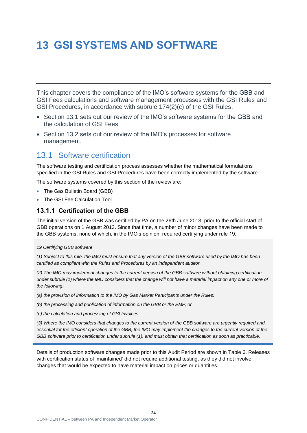# <span id="page-25-0"></span>**13 GSI SYSTEMS AND SOFTWARE**

This chapter covers the compliance of the IMO's software systems for the GBB and GSI Fees calculations and software management processes with the GSI Rules and GSI Procedures, in accordance with subrule 174(2)(c) of the GSI Rules.

- Section [13.1](#page-25-1) sets out our review of the IMO's software systems for the GBB and the calculation of GSI Fees
- Section [13.2](#page-27-0) sets out our review of the IMO's processes for software management.

### <span id="page-25-1"></span>13.1 Software certification

The software testing and certification process assesses whether the mathematical formulations specified in the GSI Rules and GSI Procedures have been correctly implemented by the software.

The software systems covered by this section of the review are:

- The Gas Bulletin Board (GBB)
- The GSI Fee Calculation Tool

#### **13.1.1 Certification of the GBB**

The initial version of the GBB was certified by PA on the 26th June 2013, prior to the official start of GBB operations on 1 August 2013. Since that time, a number of minor changes have been made to the GBB systems, none of which, in the IMO's opinion, required certifying under rule 19.

*19 Certifying GBB software*

*(1) Subject to this rule, the IMO must ensure that any version of the GBB software used by the IMO has been certified as compliant with the Rules and Procedures by an independent auditor.*

*(2) The IMO may implement changes to the current version of the GBB software without obtaining certification under subrule (1) where the IMO considers that the change will not have a material impact on any one or more of the following:*

*(a) the provision of information to the IMO by Gas Market Participants under the Rules;*

*(b) the processing and publication of information on the GBB or the EMF; or*

*(c) the calculation and processing of GSI Invoices.*

*(3) Where the IMO considers that changes to the current version of the GBB software are urgently required and essential for the efficient operation of the GBB, the IMO may implement the changes to the current version of the GBB software prior to certification under subrule (1), and must obtain that certification as soon as practicable.*

Details of production software changes made prior to this Audit Period are shown in [Table 6.](#page-26-0) Releases with certification status of 'maintained' did not require additional testing, as they did not involve changes that would be expected to have material impact on prices or quantities.

**24**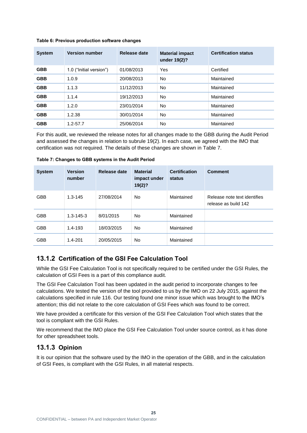#### <span id="page-26-0"></span>**Table 6: Previous production software changes**

| <b>System</b> | <b>Version number</b>   | Release date | <b>Material impact</b><br>under 19(2)? | <b>Certification status</b> |
|---------------|-------------------------|--------------|----------------------------------------|-----------------------------|
| <b>GBB</b>    | 1.0 ("Initial version") | 01/08/2013   | Yes                                    | Certified                   |
| <b>GBB</b>    | 1.0.9                   | 20/08/2013   | No.                                    | Maintained                  |
| <b>GBB</b>    | 1.1.3                   | 11/12/2013   | No.                                    | Maintained                  |
| <b>GBB</b>    | 1.1.4                   | 19/12/2013   | <b>No</b>                              | Maintained                  |
| <b>GBB</b>    | 1.2.0                   | 23/01/2014   | <b>No</b>                              | Maintained                  |
| <b>GBB</b>    | 1.2.38                  | 30/01/2014   | No                                     | Maintained                  |
| <b>GBB</b>    | $1.2 - 57.7$            | 25/06/2014   | No                                     | Maintained                  |

For this audit, we reviewed the release notes for all changes made to the GBB during the Audit Period and assessed the changes in relation to subrule 19(2). In each case, we agreed with the IMO that certification was not required. The details of these changes are shown in [Table 7.](#page-26-1)

| <b>System</b> | <b>Version</b><br>number | Release date | <b>Material</b><br>impact under<br>19(2)? | <b>Certification</b><br>status | <b>Comment</b>                                       |
|---------------|--------------------------|--------------|-------------------------------------------|--------------------------------|------------------------------------------------------|
| <b>GBB</b>    | $1.3 - 145$              | 27/08/2014   | No.                                       | Maintained                     | Release note text identifies<br>release as build 142 |
| <b>GBB</b>    | $1.3 - 145 - 3$          | 8/01/2015    | No.                                       | Maintained                     |                                                      |
| <b>GBB</b>    | $1.4 - 193$              | 18/03/2015   | No                                        | Maintained                     |                                                      |
| <b>GBB</b>    | $1.4 - 201$              | 20/05/2015   | No                                        | Maintained                     |                                                      |

<span id="page-26-1"></span>**Table 7: Changes to GBB systems in the Audit Period**

#### **13.1.2 Certification of the GSI Fee Calculation Tool**

While the GSI Fee Calculation Tool is not specifically required to be certified under the GSI Rules, the calculation of GSI Fees is a part of this compliance audit.

The GSI Fee Calculation Tool has been updated in the audit period to incorporate changes to fee calculations. We tested the version of the tool provided to us by the IMO on 22 July 2015, against the calculations specified in rule 116. Our testing found one minor issue which was brought to the IMO's attention; this did not relate to the core calculation of GSI Fees which was found to be correct.

We have provided a certificate for this version of the GSI Fee Calculation Tool which states that the tool is compliant with the GSI Rules.

We recommend that the IMO place the GSI Fee Calculation Tool under source control, as it has done for other spreadsheet tools.

#### **13.1.3 Opinion**

It is our opinion that the software used by the IMO in the operation of the GBB, and in the calculation of GSI Fees, is compliant with the GSI Rules, in all material respects.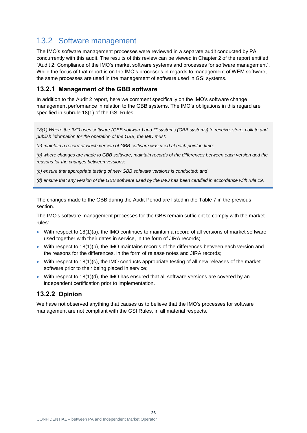## <span id="page-27-0"></span>13.2 Software management

The IMO's software management processes were reviewed in a separate audit conducted by PA concurrently with this audit. The results of this review can be viewed in Chapter 2 of the report entitled "Audit 2: Compliance of the IMO's market software systems and processes for software management". While the focus of that report is on the IMO's processes in regards to management of WEM software, the same processes are used in the management of software used in GSI systems.

#### **13.2.1 Management of the GBB software**

In addition to the Audit 2 report, here we comment specifically on the IMO's software change management performance in relation to the GBB systems. The IMO's obligations in this regard are specified in subrule 18(1) of the GSI Rules.

*18(1) Where the IMO uses software (GBB software) and IT systems (GBB systems) to receive, store, collate and publish information for the operation of the GBB, the IMO must:*

*(a) maintain a record of which version of GBB software was used at each point in time;*

*(b) where changes are made to GBB software, maintain records of the differences between each version and the reasons for the changes between versions;*

*(c) ensure that appropriate testing of new GBB software versions is conducted; and*

*(d) ensure that any version of the GBB software used by the IMO has been certified in accordance with rule 19.*

The changes made to the GBB during the Audit Period are listed in the [Table 7](#page-26-1) in the previous section.

The IMO's software management processes for the GBB remain sufficient to comply with the market rules:

- With respect to  $18(1)(a)$ , the IMO continues to maintain a record of all versions of market software used together with their dates in service, in the form of JIRA records;
- With respect to 18(1)(b), the IMO maintains records of the differences between each version and the reasons for the differences, in the form of release notes and JIRA records;
- $\bullet$  With respect to 18(1)(c), the IMO conducts appropriate testing of all new releases of the market software prior to their being placed in service;
- With respect to  $18(1)(d)$ , the IMO has ensured that all software versions are covered by an independent certification prior to implementation.

### **13.2.2 Opinion**

We have not observed anything that causes us to believe that the IMO's processes for software management are not compliant with the GSI Rules, in all material respects.

**26**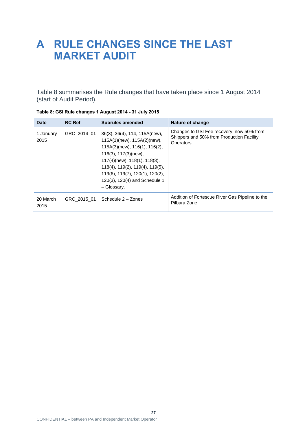## <span id="page-28-0"></span>**A RULE CHANGES SINCE THE LAST MARKET AUDIT**

[Table 8](#page-28-1) summarises the Rule changes that have taken place since 1 August 2014 (start of Audit Period).

| Date              | <b>RC Ref</b> | Subrules amended                                                                                                                                                                                                                                                                        | Nature of change                                                                                     |
|-------------------|---------------|-----------------------------------------------------------------------------------------------------------------------------------------------------------------------------------------------------------------------------------------------------------------------------------------|------------------------------------------------------------------------------------------------------|
| 1 January<br>2015 | GRC 2014 01   | 36(3), 36(4), 114, 115A(new),<br>115A(1)(new), 115A(2)(new),<br>115A(3)(new), 116(1), 116(2),<br>116(3), 117(3)(new),<br>117(4)(new), 118(1), 118(3),<br>$118(4)$ , $119(2)$ , $119(4)$ , $119(5)$ ,<br>119(6), 119(7), 120(1), 120(2),<br>120(3), 120(4) and Schedule 1<br>- Glossary. | Changes to GSI Fee recovery, now 50% from<br>Shippers and 50% from Production Facility<br>Operators. |
| 20 March<br>2015  | GRC 2015 01   | Schedule 2 - Zones                                                                                                                                                                                                                                                                      | Addition of Fortescue River Gas Pipeline to the<br>Pilbara Zone                                      |

<span id="page-28-1"></span>

| Table 8: GSI Rule changes 1 August 2014 - 31 July 2015 |  |  |
|--------------------------------------------------------|--|--|
|--------------------------------------------------------|--|--|